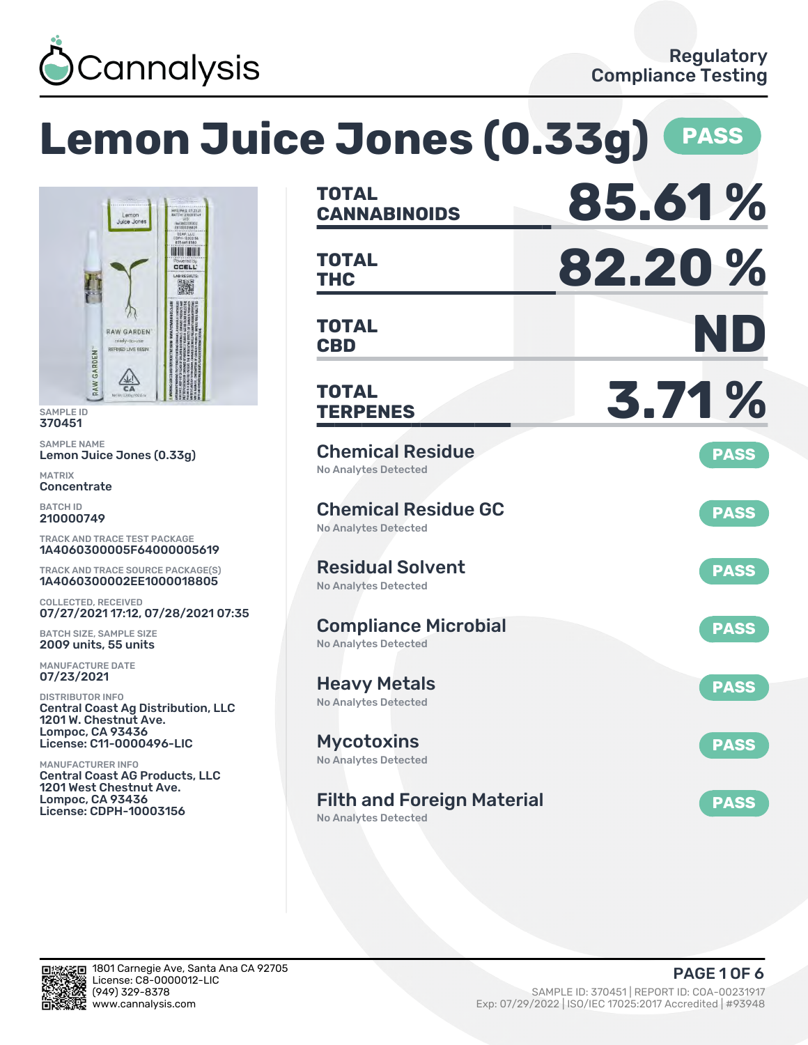

# **Lemon Juice Jones (0.33g) PASS**



SAMPLE ID 370451

SAMPLE NAME Lemon Juice Jones (0.33g)

MATRIX **Concentrate** 

BATCH ID 210000749

TRACK AND TRACE TEST PACKAGE 1A4060300005F64000005619

TRACK AND TRACE SOURCE PACKAGE(S) 1A4060300002EE1000018805

COLLECTED, RECEIVED 07/27/2021 17:12, 07/28/2021 07:35

BATCH SIZE, SAMPLE SIZE 2009 units, 55 units

MANUFACTURE DATE 07/23/2021

DISTRIBUTOR INFO Central Coast Ag Distribution, LLC 1201 W. Chestnut Ave. Lompoc, CA 93436 License: C11-0000496-LIC

MANUFACTURER INFO Central Coast AG Products, LLC 1201 West Chestnut Ave. Lompoc, CA 93436 License: CDPH-10003156

| <b>TOTAL</b><br><b>CANNABINOIDS</b>                              | 85.61%      |
|------------------------------------------------------------------|-------------|
| <b>TOTAL</b><br><b>THC</b>                                       | 82.20%      |
| <b>TOTAL</b><br><b>CBD</b>                                       | ND          |
| <b>TOTAL</b><br><b>TERPENES</b>                                  | 3.71%       |
| <b>Chemical Residue</b><br><b>No Analytes Detected</b>           | <b>PASS</b> |
| <b>Chemical Residue GC</b><br>No Analytes Detected               | <b>PASS</b> |
| <b>Residual Solvent</b><br><b>No Analytes Detected</b>           | <b>PASS</b> |
| <b>Compliance Microbial</b><br><b>No Analytes Detected</b>       | <b>PASS</b> |
| <b>Heavy Metals</b><br><b>No Analytes Detected</b>               | <b>PASS</b> |
| <b>Mycotoxins</b><br>No Analytes Detected                        | <b>PASS</b> |
| <b>Filth and Foreign Material</b><br><b>No Analytes Detected</b> | <b>PASS</b> |

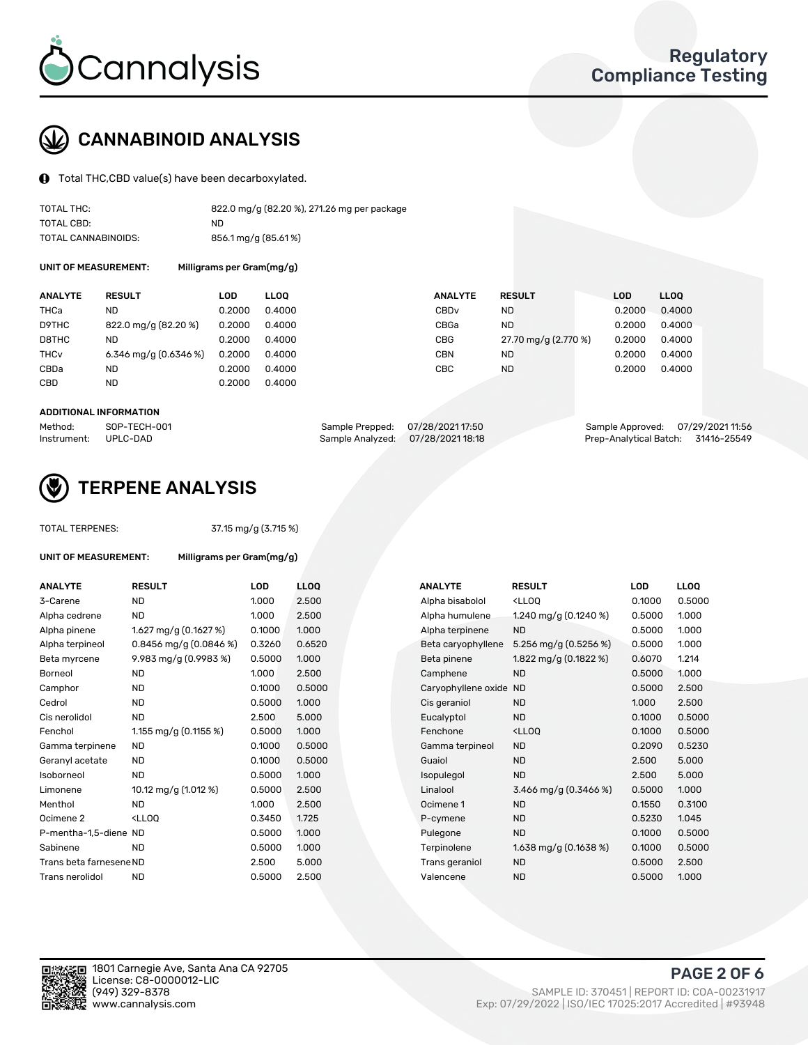

# CANNABINOID ANALYSIS

Total THC,CBD value(s) have been decarboxylated.

| TOTAL THC:          | 822.0 mg/g (82.20 %), 271.26 mg per package |
|---------------------|---------------------------------------------|
| TOTAL CBD:          | ND                                          |
| TOTAL CANNABINOIDS: | 856.1 mg/g (85.61%)                         |

UNIT OF MEASUREMENT: Milligrams per Gram(mg/g)

| <b>ANALYTE</b>         | <b>RESULT</b>         | LOD    | <b>LLOO</b> | <b>ANALYTE</b>   | <b>RESULT</b>        | <b>LOD</b> | LL <sub>00</sub> |
|------------------------|-----------------------|--------|-------------|------------------|----------------------|------------|------------------|
| THCa                   | ND                    | 0.2000 | 0.4000      | CBD <sub>v</sub> | ND                   | 0.2000     | 0.4000           |
| D9THC                  | 822.0 mg/g (82.20 %)  | 0.2000 | 0.4000      | CBGa             | ND                   | 0.2000     | 0.4000           |
| D8THC                  | ND                    | 0.2000 | 0.4000      | CBG              | 27.70 mg/g (2.770 %) | 0.2000     | 0.4000           |
| <b>THC<sub>v</sub></b> | 6.346 mg/g (0.6346 %) | 0.2000 | 0.4000      | CBN              | ND                   | 0.2000     | 0.4000           |
| CBDa                   | ND                    | 0.2000 | 0.4000      | CBC              | <b>ND</b>            | 0.2000     | 0.4000           |
| CBD                    | <b>ND</b>             | 0.2000 | 0.4000      |                  |                      |            |                  |

#### ADDITIONAL INFORMATION

| Method:              | SOP-TECH-001 | Sample Prepped: 07/28/2021 17:50  | Sample Approved: 07/29/2021 11:56  |  |
|----------------------|--------------|-----------------------------------|------------------------------------|--|
| Instrument: UPLC-DAD |              | Sample Analyzed: 07/28/2021 18:18 | Prep-Analytical Batch: 31416-25549 |  |



## TERPENE ANALYSIS

TOTAL TERPENES: 37.15 mg/g (3.715 %)

| UNIT OF MEASUREMENT:    | Milligrams per Gram(mg/g)                          |        |       |  |  |
|-------------------------|----------------------------------------------------|--------|-------|--|--|
| <b>ANALYTE</b>          | <b>RESULT</b>                                      | LOD    | LLOQ  |  |  |
| 3-Carene                | <b>ND</b>                                          | 1.000  | 2.500 |  |  |
| Alpha cedrene           | ND                                                 | 1.000  | 2.500 |  |  |
| Alpha pinene            | 1.627 mg/g (0.1627 %)                              | 0.1000 | 1.000 |  |  |
| Alpha terpineol         | $0.8456$ mg/g $(0.0846%)$                          | 0.3260 | 0.652 |  |  |
| Beta myrcene            | 9.983 mg/g (0.9983 %)                              | 0.5000 | 1.000 |  |  |
| Borneol                 | <b>ND</b>                                          | 1.000  | 2.500 |  |  |
| Camphor                 | <b>ND</b>                                          | 0.1000 | 0.500 |  |  |
| Cedrol                  | <b>ND</b>                                          | 0.5000 | 1.000 |  |  |
| Cis nerolidol           | <b>ND</b>                                          | 2.500  | 5.000 |  |  |
| Fenchol                 | 1.155 mg/g (0.1155 %)                              | 0.5000 | 1.000 |  |  |
| Gamma terpinene         | <b>ND</b>                                          | 0.1000 | 0.500 |  |  |
| Geranyl acetate         | <b>ND</b>                                          | 0.1000 | 0.500 |  |  |
| Isoborneol              | <b>ND</b>                                          | 0.5000 | 1.000 |  |  |
| Limonene                | 10.12 mg/g (1.012 %)                               | 0.5000 | 2.500 |  |  |
| Menthol                 | ND.                                                | 1.000  | 2.500 |  |  |
| Ocimene 2               | <lloo< td=""><td>0.3450</td><td>1.725</td></lloo<> | 0.3450 | 1.725 |  |  |
| P-mentha-1,5-diene ND   |                                                    | 0.5000 | 1.000 |  |  |
| Sabinene                | <b>ND</b>                                          | 0.5000 | 1.000 |  |  |
| Trans beta farnesene ND |                                                    | 2.500  | 5.000 |  |  |
| Trans nerolidol         | <b>ND</b>                                          | 0.5000 | 2.500 |  |  |

| ANALYTE                 | <b>RESULT</b>                                                                                                      | LOD    | <b>LLOQ</b> | <b>ANALYTE</b>         | <b>RESULT</b>                                       | <b>LOD</b> | <b>LLOQ</b> |
|-------------------------|--------------------------------------------------------------------------------------------------------------------|--------|-------------|------------------------|-----------------------------------------------------|------------|-------------|
| 3-Carene                | <b>ND</b>                                                                                                          | 1.000  | 2.500       | Alpha bisabolol        | <lloq< td=""><td>0.1000</td><td>0.5000</td></lloq<> | 0.1000     | 0.5000      |
| Alpha cedrene           | <b>ND</b>                                                                                                          | 1.000  | 2.500       | Alpha humulene         | 1.240 mg/g $(0.1240\%)$                             | 0.5000     | 1.000       |
| Alpha pinene            | 1.627 mg/g $(0.1627%)$                                                                                             | 0.1000 | 1.000       | Alpha terpinene        | <b>ND</b>                                           | 0.5000     | 1.000       |
| Alpha terpineol         | 0.8456 mg/g $(0.0846\%)$                                                                                           | 0.3260 | 0.6520      | Beta caryophyllene     | 5.256 mg/g $(0.5256\%)$                             | 0.5000     | 1.000       |
| Beta myrcene            | 9.983 mg/g (0.9983 %)                                                                                              | 0.5000 | 1.000       | Beta pinene            | 1.822 mg/g $(0.1822 \%)$                            | 0.6070     | 1.214       |
| Borneol                 | <b>ND</b>                                                                                                          | 1.000  | 2.500       | Camphene               | <b>ND</b>                                           | 0.5000     | 1.000       |
| Camphor                 | <b>ND</b>                                                                                                          | 0.1000 | 0.5000      | Caryophyllene oxide ND |                                                     | 0.5000     | 2.500       |
| Cedrol                  | <b>ND</b>                                                                                                          | 0.5000 | 1.000       | Cis geraniol           | <b>ND</b>                                           | 1.000      | 2.500       |
| Cis nerolidol           | <b>ND</b>                                                                                                          | 2.500  | 5.000       | Eucalyptol             | <b>ND</b>                                           | 0.1000     | 0.5000      |
| Fenchol                 | 1.155 mg/g $(0.1155%)$                                                                                             | 0.5000 | 1.000       | Fenchone               | <lloq< td=""><td>0.1000</td><td>0.5000</td></lloq<> | 0.1000     | 0.5000      |
| Gamma terpinene         | <b>ND</b>                                                                                                          | 0.1000 | 0.5000      | Gamma terpineol        | <b>ND</b>                                           | 0.2090     | 0.5230      |
| Geranyl acetate         | ND                                                                                                                 | 0.1000 | 0.5000      | Guaiol                 | <b>ND</b>                                           | 2.500      | 5.000       |
| Isoborneol              | <b>ND</b>                                                                                                          | 0.5000 | 1.000       | Isopulegol             | <b>ND</b>                                           | 2.500      | 5.000       |
| Limonene                | 10.12 mg/g (1.012 %)                                                                                               | 0.5000 | 2.500       | Linalool               | 3.466 mg/g $(0.3466\%)$                             | 0.5000     | 1.000       |
| Menthol                 | <b>ND</b>                                                                                                          | 1.000  | 2.500       | Ocimene 1              | <b>ND</b>                                           | 0.1550     | 0.3100      |
| Ocimene 2               | <lloq< td=""><td>0.3450</td><td>1.725</td><td>P-cymene</td><td><b>ND</b></td><td>0.5230</td><td>1.045</td></lloq<> | 0.3450 | 1.725       | P-cymene               | <b>ND</b>                                           | 0.5230     | 1.045       |
| P-mentha-1,5-diene ND   |                                                                                                                    | 0.5000 | 1.000       | Pulegone               | <b>ND</b>                                           | 0.1000     | 0.5000      |
| Sabinene                | <b>ND</b>                                                                                                          | 0.5000 | 1.000       | Terpinolene            | 1.638 mg/g $(0.1638\%)$                             | 0.1000     | 0.5000      |
| Trans beta farnesene ND |                                                                                                                    | 2.500  | 5.000       | Trans geraniol         | <b>ND</b>                                           | 0.5000     | 2.500       |
| Trans nerolidol         | <b>ND</b>                                                                                                          | 0.5000 | 2.500       | Valencene              | <b>ND</b>                                           | 0.5000     | 1.000       |
|                         |                                                                                                                    |        |             |                        |                                                     |            |             |

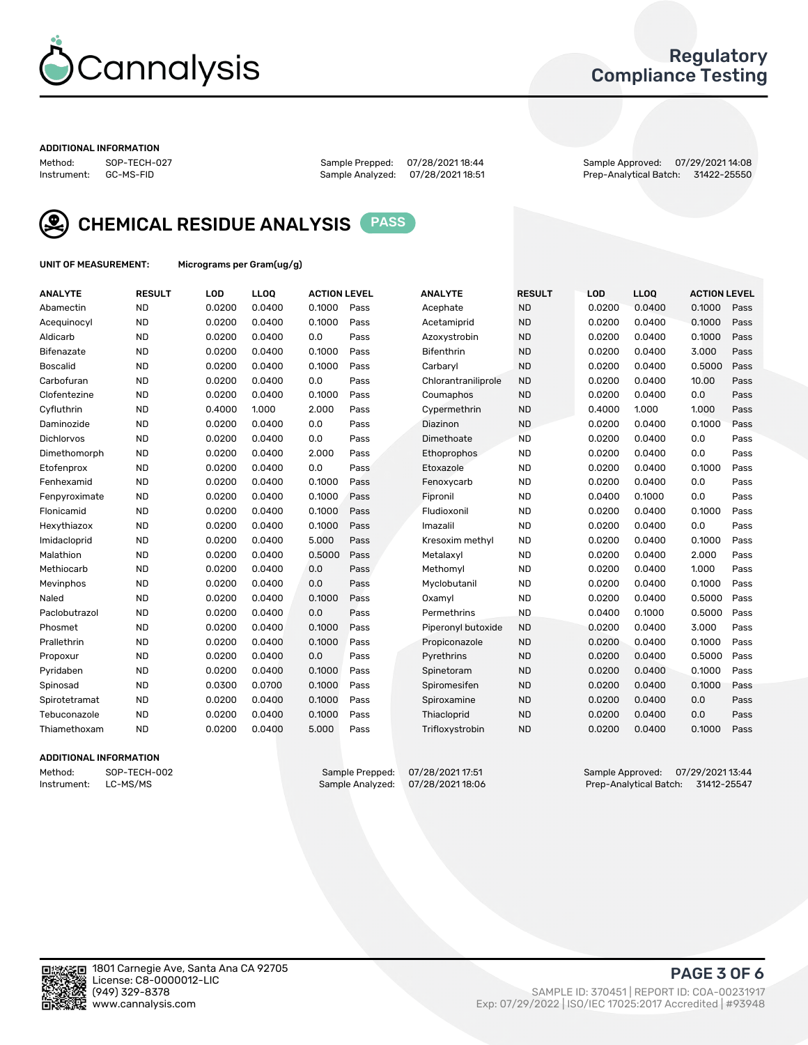

## Regulatory Compliance Testing

#### ADDITIONAL INFORMATION

Method: SOP-TECH-027 Sample Prepped: 07/28/2021 18:44 Sample Approved: 07/29/2021 14:08 Prep-Analytical Batch: 31422-25550



CHEMICAL RESIDUE ANALYSIS PASS

UNIT OF MEASUREMENT: Micrograms per Gram(ug/g)

| <b>ANALYTE</b>    | <b>RESULT</b> | LOD    | LL <sub>OO</sub> | <b>ACTION LEVEL</b> |      | <b>ANALYTE</b>      | <b>RESULT</b> | <b>LOD</b> | <b>LLOQ</b> | <b>ACTION LEVEL</b> |      |
|-------------------|---------------|--------|------------------|---------------------|------|---------------------|---------------|------------|-------------|---------------------|------|
| Abamectin         | <b>ND</b>     | 0.0200 | 0.0400           | 0.1000              | Pass | Acephate            | <b>ND</b>     | 0.0200     | 0.0400      | 0.1000              | Pass |
| Acequinocyl       | <b>ND</b>     | 0.0200 | 0.0400           | 0.1000              | Pass | Acetamiprid         | <b>ND</b>     | 0.0200     | 0.0400      | 0.1000              | Pass |
| Aldicarb          | <b>ND</b>     | 0.0200 | 0.0400           | 0.0                 | Pass | Azoxystrobin        | <b>ND</b>     | 0.0200     | 0.0400      | 0.1000              | Pass |
| Bifenazate        | <b>ND</b>     | 0.0200 | 0.0400           | 0.1000              | Pass | <b>Bifenthrin</b>   | <b>ND</b>     | 0.0200     | 0.0400      | 3.000               | Pass |
| <b>Boscalid</b>   | <b>ND</b>     | 0.0200 | 0.0400           | 0.1000              | Pass | Carbaryl            | <b>ND</b>     | 0.0200     | 0.0400      | 0.5000              | Pass |
| Carbofuran        | <b>ND</b>     | 0.0200 | 0.0400           | 0.0                 | Pass | Chlorantraniliprole | <b>ND</b>     | 0.0200     | 0.0400      | 10.00               | Pass |
| Clofentezine      | <b>ND</b>     | 0.0200 | 0.0400           | 0.1000              | Pass | Coumaphos           | <b>ND</b>     | 0.0200     | 0.0400      | 0.0                 | Pass |
| Cyfluthrin        | <b>ND</b>     | 0.4000 | 1.000            | 2.000               | Pass | Cypermethrin        | <b>ND</b>     | 0.4000     | 1.000       | 1.000               | Pass |
| Daminozide        | <b>ND</b>     | 0.0200 | 0.0400           | 0.0                 | Pass | Diazinon            | <b>ND</b>     | 0.0200     | 0.0400      | 0.1000              | Pass |
| <b>Dichlorvos</b> | <b>ND</b>     | 0.0200 | 0.0400           | 0.0                 | Pass | Dimethoate          | <b>ND</b>     | 0.0200     | 0.0400      | 0.0                 | Pass |
| Dimethomorph      | <b>ND</b>     | 0.0200 | 0.0400           | 2.000               | Pass | Ethoprophos         | <b>ND</b>     | 0.0200     | 0.0400      | 0.0                 | Pass |
| Etofenprox        | <b>ND</b>     | 0.0200 | 0.0400           | 0.0                 | Pass | Etoxazole           | <b>ND</b>     | 0.0200     | 0.0400      | 0.1000              | Pass |
| Fenhexamid        | <b>ND</b>     | 0.0200 | 0.0400           | 0.1000              | Pass | Fenoxycarb          | <b>ND</b>     | 0.0200     | 0.0400      | 0.0                 | Pass |
| Fenpyroximate     | <b>ND</b>     | 0.0200 | 0.0400           | 0.1000              | Pass | Fipronil            | <b>ND</b>     | 0.0400     | 0.1000      | 0.0                 | Pass |
| Flonicamid        | <b>ND</b>     | 0.0200 | 0.0400           | 0.1000              | Pass | Fludioxonil         | <b>ND</b>     | 0.0200     | 0.0400      | 0.1000              | Pass |
| Hexythiazox       | <b>ND</b>     | 0.0200 | 0.0400           | 0.1000              | Pass | Imazalil            | <b>ND</b>     | 0.0200     | 0.0400      | 0.0                 | Pass |
| Imidacloprid      | <b>ND</b>     | 0.0200 | 0.0400           | 5.000               | Pass | Kresoxim methyl     | <b>ND</b>     | 0.0200     | 0.0400      | 0.1000              | Pass |
| Malathion         | <b>ND</b>     | 0.0200 | 0.0400           | 0.5000              | Pass | Metalaxyl           | <b>ND</b>     | 0.0200     | 0.0400      | 2.000               | Pass |
| Methiocarb        | <b>ND</b>     | 0.0200 | 0.0400           | 0.0                 | Pass | Methomyl            | <b>ND</b>     | 0.0200     | 0.0400      | 1.000               | Pass |
| Mevinphos         | <b>ND</b>     | 0.0200 | 0.0400           | 0.0                 | Pass | Myclobutanil        | <b>ND</b>     | 0.0200     | 0.0400      | 0.1000              | Pass |
| Naled             | <b>ND</b>     | 0.0200 | 0.0400           | 0.1000              | Pass | Oxamyl              | <b>ND</b>     | 0.0200     | 0.0400      | 0.5000              | Pass |
| Paclobutrazol     | <b>ND</b>     | 0.0200 | 0.0400           | 0.0                 | Pass | Permethrins         | <b>ND</b>     | 0.0400     | 0.1000      | 0.5000              | Pass |
| Phosmet           | <b>ND</b>     | 0.0200 | 0.0400           | 0.1000              | Pass | Piperonyl butoxide  | <b>ND</b>     | 0.0200     | 0.0400      | 3.000               | Pass |
| Prallethrin       | <b>ND</b>     | 0.0200 | 0.0400           | 0.1000              | Pass | Propiconazole       | <b>ND</b>     | 0.0200     | 0.0400      | 0.1000              | Pass |
| Propoxur          | <b>ND</b>     | 0.0200 | 0.0400           | 0.0                 | Pass | Pyrethrins          | <b>ND</b>     | 0.0200     | 0.0400      | 0.5000              | Pass |
| Pyridaben         | <b>ND</b>     | 0.0200 | 0.0400           | 0.1000              | Pass | Spinetoram          | <b>ND</b>     | 0.0200     | 0.0400      | 0.1000              | Pass |
| Spinosad          | <b>ND</b>     | 0.0300 | 0.0700           | 0.1000              | Pass | Spiromesifen        | <b>ND</b>     | 0.0200     | 0.0400      | 0.1000              | Pass |
| Spirotetramat     | <b>ND</b>     | 0.0200 | 0.0400           | 0.1000              | Pass | Spiroxamine         | <b>ND</b>     | 0.0200     | 0.0400      | 0.0                 | Pass |
| Tebuconazole      | <b>ND</b>     | 0.0200 | 0.0400           | 0.1000              | Pass | Thiacloprid         | <b>ND</b>     | 0.0200     | 0.0400      | 0.0                 | Pass |
| Thiamethoxam      | <b>ND</b>     | 0.0200 | 0.0400           | 5.000               | Pass | Trifloxystrobin     | <b>ND</b>     | 0.0200     | 0.0400      | 0.1000              | Pass |
|                   |               |        |                  |                     |      |                     |               |            |             |                     |      |

#### ADDITIONAL INFORMATION

Method: SOP-TECH-002 Sample Prepped: 07/28/2021 17:51 Sample Approved: 07/29/2021 13:44<br>Instrument: LC-MS/MS Sample Analyzed: 07/28/2021 18:06 Prep-Analytical Batch: 31412-25547 Prep-Analytical Batch: 31412-25547

PAGE 3 OF 6

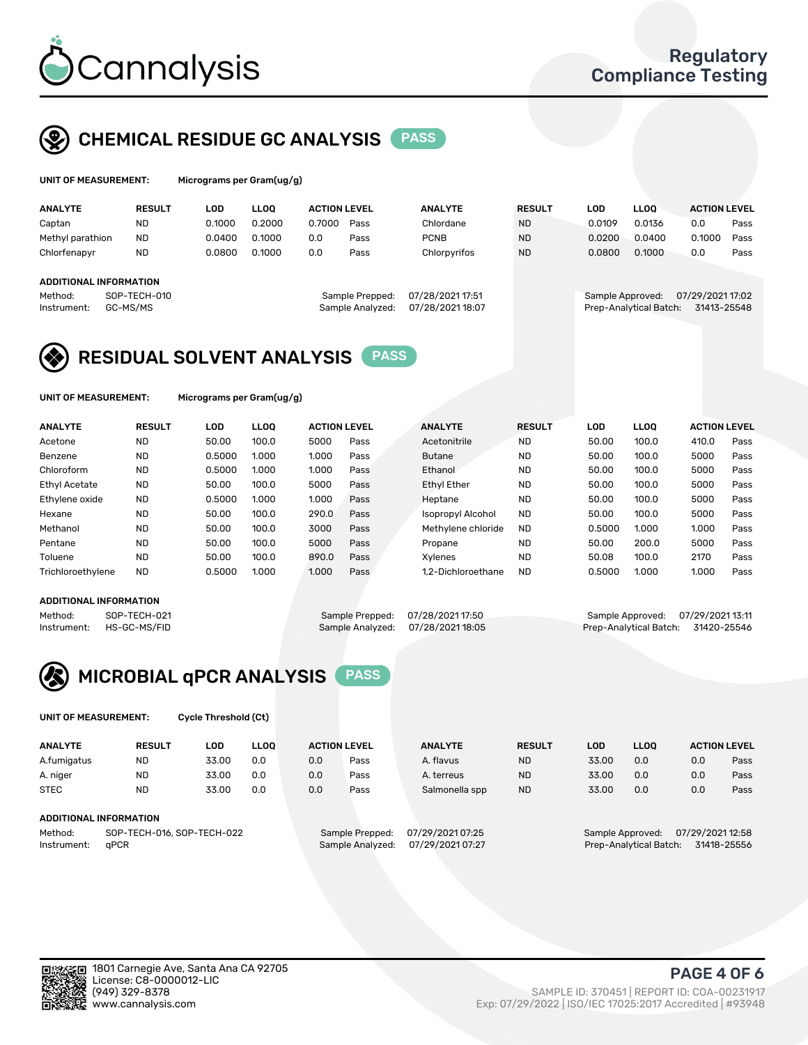

## CHEMICAL RESIDUE GC ANALYSIS PASS

| UNIT OF MEASUREMENT: | Microgran |
|----------------------|-----------|
|                      |           |

ns per Gram(ug/g)

| <b>ANALYTE</b>                                   | <b>RESULT</b>            | LOD    | <b>LLOO</b> | <b>ACTION LEVEL</b> |                                     | <b>ANALYTE</b>                      | <b>RESULT</b> | LOD              | <b>LLOO</b>            | <b>ACTION LEVEL</b>             |      |
|--------------------------------------------------|--------------------------|--------|-------------|---------------------|-------------------------------------|-------------------------------------|---------------|------------------|------------------------|---------------------------------|------|
| Captan                                           | <b>ND</b>                | 0.1000 | 0.2000      | 0.7000              | Pass                                | Chlordane                           | <b>ND</b>     | 0.0109           | 0.0136                 | 0.0                             | Pass |
| Methyl parathion                                 | <b>ND</b>                | 0.0400 | 0.1000      | 0.0                 | Pass                                | <b>PCNB</b>                         | <b>ND</b>     | 0.0200           | 0.0400                 | 0.1000                          | Pass |
| Chlorfenapyr                                     | <b>ND</b>                | 0.0800 | 0.1000      | 0.0                 | Pass                                | Chlorpyrifos                        | <b>ND</b>     | 0.0800           | 0.1000                 | 0.0                             | Pass |
| ADDITIONAL INFORMATION<br>Method:<br>Instrument: | SOP-TECH-010<br>GC-MS/MS |        |             |                     | Sample Prepped:<br>Sample Analyzed: | 07/28/2021 17:51<br>07/28/202118:07 |               | Sample Approved: | Prep-Analytical Batch: | 07/29/2021 17:02<br>31413-25548 |      |

## RESIDUAL SOLVENT ANALYSIS PASS

UNIT OF MEASUREMENT: Micrograms per Gram(ug/g)

| <b>ANALYTE</b>       | <b>RESULT</b> | <b>LOD</b> | <b>LLOO</b> | <b>ACTION LEVEL</b> |      | <b>ANALYTE</b>           | <b>RESULT</b> | LOD    | <b>LLOO</b> | <b>ACTION LEVEL</b> |      |
|----------------------|---------------|------------|-------------|---------------------|------|--------------------------|---------------|--------|-------------|---------------------|------|
| Acetone              | <b>ND</b>     | 50.00      | 100.0       | 5000                | Pass | Acetonitrile             | <b>ND</b>     | 50.00  | 100.0       | 410.0               | Pass |
| Benzene              | <b>ND</b>     | 0.5000     | 1.000       | 1.000               | Pass | <b>Butane</b>            | <b>ND</b>     | 50.00  | 100.0       | 5000                | Pass |
| Chloroform           | <b>ND</b>     | 0.5000     | 1.000       | 1.000               | Pass | Ethanol                  | <b>ND</b>     | 50.00  | 100.0       | 5000                | Pass |
| <b>Ethyl Acetate</b> | <b>ND</b>     | 50.00      | 100.0       | 5000                | Pass | <b>Ethyl Ether</b>       | <b>ND</b>     | 50.00  | 100.0       | 5000                | Pass |
| Ethylene oxide       | <b>ND</b>     | 0.5000     | 1.000       | 1.000               | Pass | Heptane                  | <b>ND</b>     | 50.00  | 100.0       | 5000                | Pass |
| Hexane               | <b>ND</b>     | 50.00      | 100.0       | 290.0               | Pass | <b>Isopropyl Alcohol</b> | <b>ND</b>     | 50.00  | 100.0       | 5000                | Pass |
| Methanol             | <b>ND</b>     | 50.00      | 100.0       | 3000                | Pass | Methylene chloride       | <b>ND</b>     | 0.5000 | 1.000       | 1.000               | Pass |
| Pentane              | <b>ND</b>     | 50.00      | 100.0       | 5000                | Pass | Propane                  | <b>ND</b>     | 50.00  | 200.0       | 5000                | Pass |
| Toluene              | <b>ND</b>     | 50.00      | 100.0       | 890.0               | Pass | <b>Xylenes</b>           | <b>ND</b>     | 50.08  | 100.0       | 2170                | Pass |
| Trichloroethylene    | <b>ND</b>     | 0.5000     | 1.000       | 1.000               | Pass | 1.2-Dichloroethane       | <b>ND</b>     | 0.5000 | 1.000       | 1.000               | Pass |

#### ADDITIONAL INFORMATION

Method: SOP-TECH-021 Sample Prepped: 07/28/202117:50 Sample Approved: 07/29/202113:11<br>Instrument: HS-GC-MS/FID Sample Analyzed: 07/28/202118:05 Prep-Analytical Batch: 31420-25546 Prep-Analytical Batch: 31420-25546



UNIT OF MEASUREMENT: Cycle Threshold (Ct)

| <b>ANALYTE</b>                        | <b>RESULT</b>          | LOD   | <b>LLOO</b> |     | <b>ACTION LEVEL</b> | <b>ANALYTE</b>   | <b>RESULT</b> | LOD   | <b>LLOO</b>      |                  | <b>ACTION LEVEL</b> |
|---------------------------------------|------------------------|-------|-------------|-----|---------------------|------------------|---------------|-------|------------------|------------------|---------------------|
| A.fumigatus                           | <b>ND</b>              | 33.00 | 0.0         | 0.0 | Pass                | A. flavus        | <b>ND</b>     | 33.00 | 0.0              | 0.0              | Pass                |
| A. niger                              | <b>ND</b>              | 33.00 | 0.0         | 0.0 | Pass                | A. terreus       | <b>ND</b>     | 33.00 | 0.0              | 0.0              | Pass                |
| <b>STEC</b>                           | <b>ND</b>              | 33.00 | 0.0         | 0.0 | Pass                | Salmonella spp   | <b>ND</b>     | 33.00 | 0.0              | 0.0              | Pass                |
|                                       | ADDITIONAL INFORMATION |       |             |     |                     |                  |               |       |                  |                  |                     |
| SOP-TECH-016, SOP-TECH-022<br>Method: |                        |       |             |     | Sample Prepped:     | 07/29/2021 07:25 |               |       | Sample Approved: | 07/29/2021 12:58 |                     |

Instrument: qPCR Sample Analyzed: 07/29/2021 07:27 Prep-Analytical Batch: 31418-25556

PAGE 4 OF 6

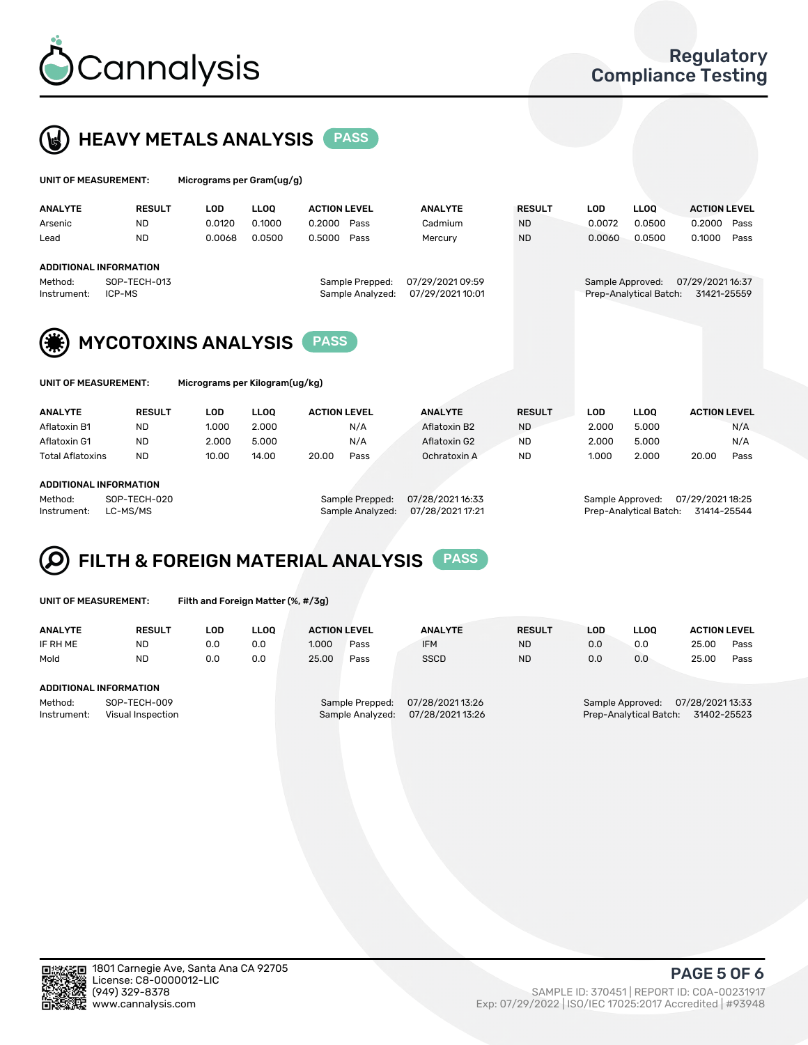



| UNIT OF MEASUREMENT:          |                            | Micrograms per Gram(ug/g) |             |                     |                                     |                                      |               |                  |                        |                                 |      |
|-------------------------------|----------------------------|---------------------------|-------------|---------------------|-------------------------------------|--------------------------------------|---------------|------------------|------------------------|---------------------------------|------|
| <b>ANALYTE</b>                | <b>RESULT</b>              | <b>LOD</b>                | <b>LLOO</b> | <b>ACTION LEVEL</b> |                                     | <b>ANALYTE</b>                       | <b>RESULT</b> | <b>LOD</b>       | <b>LLOO</b>            | <b>ACTION LEVEL</b>             |      |
| Arsenic                       | <b>ND</b>                  | 0.0120                    | 0.1000      | 0.2000              | Pass                                | Cadmium                              | <b>ND</b>     | 0.0072           | 0.0500                 | 0.2000                          | Pass |
| Lead                          | <b>ND</b>                  | 0.0068                    | 0.0500      | 0.5000              | Pass                                | Mercury                              | <b>ND</b>     | 0.0060           | 0.0500                 | 0.1000                          | Pass |
| <b>ADDITIONAL INFORMATION</b> |                            |                           |             |                     |                                     |                                      |               |                  |                        |                                 |      |
| Method:<br>Instrument:        | SOP-TECH-013<br>ICP-MS     |                           |             |                     | Sample Prepped:<br>Sample Analyzed: | 07/29/2021 09:59<br>07/29/2021 10:01 |               | Sample Approved: | Prep-Analytical Batch: | 07/29/2021 16:37<br>31421-25559 |      |
| (第)                           | <b>MYCOTOXINS ANALYSIS</b> |                           |             | <b>PASS</b>         |                                     |                                      |               |                  |                        |                                 |      |

| UNIT OF MEASUREMENT: |  |
|----------------------|--|
|----------------------|--|

Micrograms per Kilogram(ug/kg)

| <b>ANALYTE</b>          | <b>RESULT</b> | LOD   | <b>LLOO</b> | <b>ACTION LEVEL</b> |      | <b>ANALYTE</b> | <b>RESULT</b> | LOD   | <b>LLOO</b> | <b>ACTION LEVEL</b> |      |
|-------------------------|---------------|-------|-------------|---------------------|------|----------------|---------------|-------|-------------|---------------------|------|
| Aflatoxin B1            | <b>ND</b>     | 1.000 | 2.000       |                     | N/A  | Aflatoxin B2   | <b>ND</b>     | 2.000 | 5.000       |                     | N/A  |
| Aflatoxin G1            | <b>ND</b>     | 2.000 | 5.000       |                     | N/A  | Aflatoxin G2   | <b>ND</b>     | 2.000 | 5.000       |                     | N/A  |
| <b>Total Aflatoxins</b> | <b>ND</b>     | 10.00 | 14.00       | 20.00               | Pass | Ochratoxin A   | <b>ND</b>     | 1.000 | 2.000       | 20.00               | Pass |
|                         |               |       |             |                     |      |                |               |       |             |                     |      |

#### ADDITIONAL INFORMATION

Method: SOP-TECH-020 Sample Prepped: 07/28/2021 16:33 Sample Approved: 07/29/2021 18:25 Instrument: LC-MS/MS Sample Analyzed: 07/28/2021 17:21 Prep-Analytical Batch: 31414-25544



|  | UNIT OF MEASUREMENT: |
|--|----------------------|
|  |                      |

Filth and Foreign Matter (%, #/3g)

| <b>ANALYTE</b>                                              | <b>RESULT</b> | LOD | <b>LLOO</b> | <b>ACTION LEVEL</b> |                                     | <b>ANALYTE</b>                     | <b>RESULT</b>                                                                 | LOD | LLOO | <b>ACTION LEVEL</b> |      |
|-------------------------------------------------------------|---------------|-----|-------------|---------------------|-------------------------------------|------------------------------------|-------------------------------------------------------------------------------|-----|------|---------------------|------|
| IF RH ME                                                    | <b>ND</b>     | 0.0 | 0.0         | 1.000               | Pass                                | <b>IFM</b>                         | <b>ND</b>                                                                     | 0.0 | 0.0  | 25.00               | Pass |
| Mold                                                        | <b>ND</b>     | 0.0 | 0.0         | 25.00               | Pass                                | <b>SSCD</b>                        | <b>ND</b>                                                                     | 0.0 | 0.0  | 25.00               | Pass |
| <b>ADDITIONAL INFORMATION</b>                               |               |     |             |                     |                                     |                                    |                                                                               |     |      |                     |      |
| Method:<br>SOP-TECH-009<br>Instrument:<br>Visual Inspection |               |     |             |                     | Sample Prepped:<br>Sample Analyzed: | 07/28/202113:26<br>07/28/202113:26 | 07/28/2021 13:33<br>Sample Approved:<br>31402-25523<br>Prep-Analytical Batch: |     |      |                     |      |